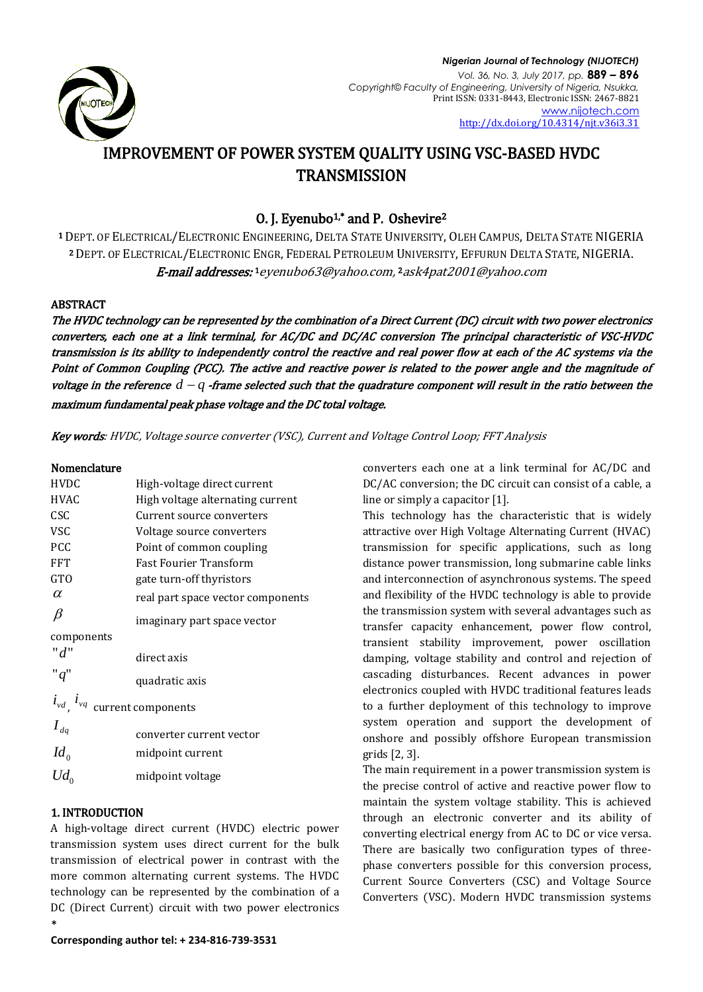

# IMPROVEMENT OF POWER SYSTEM QUALITY USING VSC-BASED HVDC **TRANSMISSION**

## O. J. Eyenubo<sup>1,\*</sup> and P. Oshevire<sup>2</sup>

<sup>1</sup> DEPT. OF ELECTRICAL/ELECTRONIC ENGINEERING, DELTA STATE UNIVERSITY, OLEH CAMPUS, DELTA STATE NIGERIA <sup>2</sup> DEPT. OF ELECTRICAL/ELECTRONIC ENGR, FEDERAL PETROLEUM UNIVERSITY, EFFURUN DELTA STATE, NIGERIA. **E-mail addresses:** 1 [eyenubo63@yahoo.com,](mailto:1eyenubo63@yahoo.com) 2 [ask4pat2001@yahoo.com](mailto:2ask4pat2001@yahoo.com)

## ABSTRACT

The HVDC technology can be represented by the combination of a Direct Current (DC) circuit with two power electronics converters, each one at a link terminal, for AC/DC and DC/AC conversion The principal characteristic of VSC-HVDC transmission is its ability to independently control the reactive and real power flow at each of the AC systems via the Point of Common Coupling (PCC). The active and reactive power is related to the power angle and the magnitude of voltage in the reference  $d - q$  -frame selected such that the quadrature component will result in the ratio between the maximum fundamental peak phase voltage and the DC total voltage.

Key words: HVDC, Voltage source converter (VSC), Current and Voltage Control Loop; FFT Analysis

## Nomenclature

| <b>HVDC</b>                            | High-voltage direct current       |
|----------------------------------------|-----------------------------------|
| <b>HVAC</b>                            | High voltage alternating current  |
| CSC                                    | Current source converters         |
| <b>VSC</b>                             | Voltage source converters         |
| <b>PCC</b>                             | Point of common coupling          |
| <b>FFT</b>                             | <b>Fast Fourier Transform</b>     |
| <b>GTO</b>                             | gate turn-off thyristors          |
| $\alpha$                               | real part space vector components |
| $\beta$                                | imaginary part space vector       |
| components                             |                                   |
| "d"                                    | direct axis                       |
| "q"                                    | quadratic axis                    |
| $i_{vd}$ , $i_{vd}$ current components |                                   |
| $I_{dq}$                               | converter current vector          |
| $Id_0$                                 | midpoint current                  |
| $Ud_0$                                 | midpoint voltage                  |
|                                        |                                   |

## 1. INTRODUCTION

\* A high-voltage direct current (HVDC) electric power transmission system uses direct current for the bulk transmission of electrical power in contrast with the more common alternating current systems. The HVDC technology can be represented by the combination of a DC (Direct Current) circuit with two power electronics

**Corresponding author tel: + 234-816-739-3531**

converters each one at a link terminal for AC/DC and DC/AC conversion; the DC circuit can consist of a cable, a line or simply a capacitor [1].

This technology has the characteristic that is widely attractive over High Voltage Alternating Current (HVAC) transmission for specific applications, such as long distance power transmission, long submarine cable links and interconnection of asynchronous systems. The speed and flexibility of the HVDC technology is able to provide the transmission system with several advantages such as transfer capacity enhancement, power flow control, transient stability improvement, power oscillation damping, voltage stability and control and rejection of cascading disturbances. Recent advances in power electronics coupled with HVDC traditional features leads to a further deployment of this technology to improve system operation and support the development of onshore and possibly offshore European transmission grids [2, 3].

The main requirement in a power transmission system is the precise control of active and reactive power flow to maintain the system voltage stability. This is achieved through an electronic converter and its ability of converting electrical energy from AC to DC or vice versa. There are basically two configuration types of threephase converters possible for this conversion process, Current Source Converters (CSC) and Voltage Source Converters (VSC). Modern HVDC transmission systems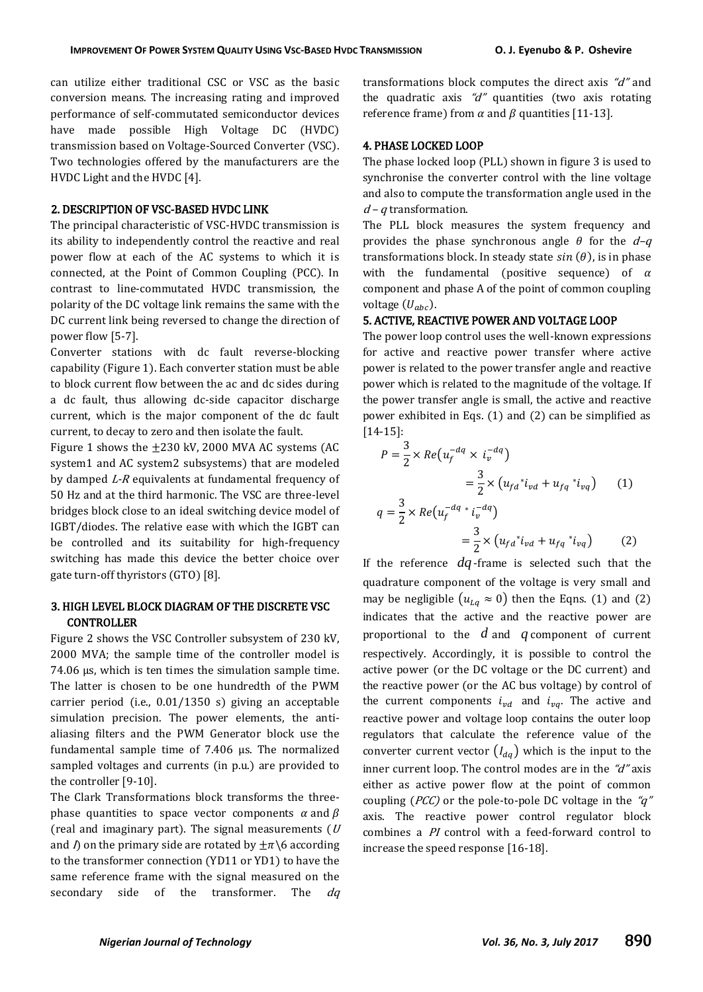can utilize either traditional CSC or VSC as the basic conversion means. The increasing rating and improved performance of self-commutated semiconductor devices have made possible High Voltage DC (HVDC) transmission based on Voltage-Sourced Converter (VSC). Two technologies offered by the manufacturers are the HVDC Light and the HVDC [4].

#### 2. DESCRIPTION OF VSC-BASED HVDC LINK

The principal characteristic of VSC-HVDC transmission is its ability to independently control the reactive and real power flow at each of the AC systems to which it is connected, at the Point of Common Coupling (PCC). In contrast to line-commutated HVDC transmission, the polarity of the DC voltage link remains the same with the DC current link being reversed to change the direction of power flow [5-7].

Converter stations with dc fault reverse-blocking capability (Figure 1). Each converter station must be able to block current flow between the ac and dc sides during a dc fault, thus allowing dc-side capacitor discharge current, which is the major component of the dc fault current, to decay to zero and then isolate the fault.

Figure 1 shows the  $\pm 230$  kV, 2000 MVA AC systems (AC system1 and AC system2 subsystems) that are modeled by damped L-R equivalents at fundamental frequency of 50 Hz and at the third harmonic. The VSC are three-level bridges block close to an ideal switching device model of IGBT/diodes. The relative ease with which the IGBT can be controlled and its suitability for high-frequency switching has made this device the better choice over gate turn-off thyristors (GTO) [8].

### 3. HIGH LEVEL BLOCK DIAGRAM OF THE DISCRETE VSC **CONTROLLER**

Figure 2 shows the VSC Controller subsystem of 230 kV, 2000 MVA; the sample time of the controller model is 74.06 µs, which is ten times the simulation sample time. The latter is chosen to be one hundredth of the PWM carrier period (i.e., 0.01/1350 s) giving an acceptable simulation precision. The power elements, the antialiasing filters and the PWM Generator block use the fundamental sample time of 7.406 µs. The normalized sampled voltages and currents (in p.u.) are provided to the controller [9-10].

The Clark Transformations block transforms the threephase quantities to space vector components  $\alpha$  and  $\beta$ (real and imaginary part). The signal measurements  $(U)$ and  $\Lambda$  on the primary side are rotated by  $\pm \pi$  \6 according to the transformer connection (YD11 or YD1) to have the same reference frame with the signal measured on the secondary side of the transformer. The dq

transformations block computes the direct axis  $d''$  and the quadratic axis " $d''$  quantities (two axis rotating reference frame) from  $\alpha$  and  $\beta$  quantities [11-13].

#### 4. PHASE LOCKED LOOP

The phase locked loop (PLL) shown in figure 3 is used to synchronise the converter control with the line voltage and also to compute the transformation angle used in the  $d - q$  transformation.

The PLL block measures the system frequency and provides the phase synchronous angle  $\theta$  for the  $d-q$ transformations block. In steady state  $sin(\theta)$ , is in phase with the fundamental (positive sequence) of  $\alpha$ component and phase A of the point of common coupling voltage  $(U_{abc})$ .

#### 5. ACTIVE, REACTIVE POWER AND VOLTAGE LOOP

The power loop control uses the well-known expressions for active and reactive power transfer where active power is related to the power transfer angle and reactive power which is related to the magnitude of the voltage. If the power transfer angle is small, the active and reactive power exhibited in Eqs. (1) and (2) can be simplified as [14-15]:

$$
P = \frac{3}{2} \times Re(u_f^{-dq} \times i_v^{-dq})
$$
  
\n
$$
= \frac{3}{2} \times (u_{fd} * i_{vd} + u_{fq} * i_{vq})
$$
(1)  
\n
$$
q = \frac{3}{2} \times Re(u_f^{-dq} * i_v^{-dq})
$$
  
\n
$$
= \frac{3}{2} \times (u_{fd} * i_{vd} + u_{fq} * i_{vq})
$$
(2)

If the reference  $dq$ -frame is selected such that the quadrature component of the voltage is very small and may be negligible  $(u_{l,a} \approx 0)$  then the Eqns. (1) and (2) indicates that the active and the reactive power are proportional to the  $d$  and  $q$  component of current respectively. Accordingly, it is possible to control the active power (or the DC voltage or the DC current) and the reactive power (or the AC bus voltage) by control of the current components  $i_{vd}$  and  $i_{vq}$ . The active and reactive power and voltage loop contains the outer loop regulators that calculate the reference value of the converter current vector  $(I_{dq})$  which is the input to the inner current loop. The control modes are in the  $d''$  axis either as active power flow at the point of common coupling (*PCC*) or the pole-to-pole DC voltage in the " $q$ " axis. The reactive power control regulator block combines a PI control with a feed-forward control to increase the speed response [16-18].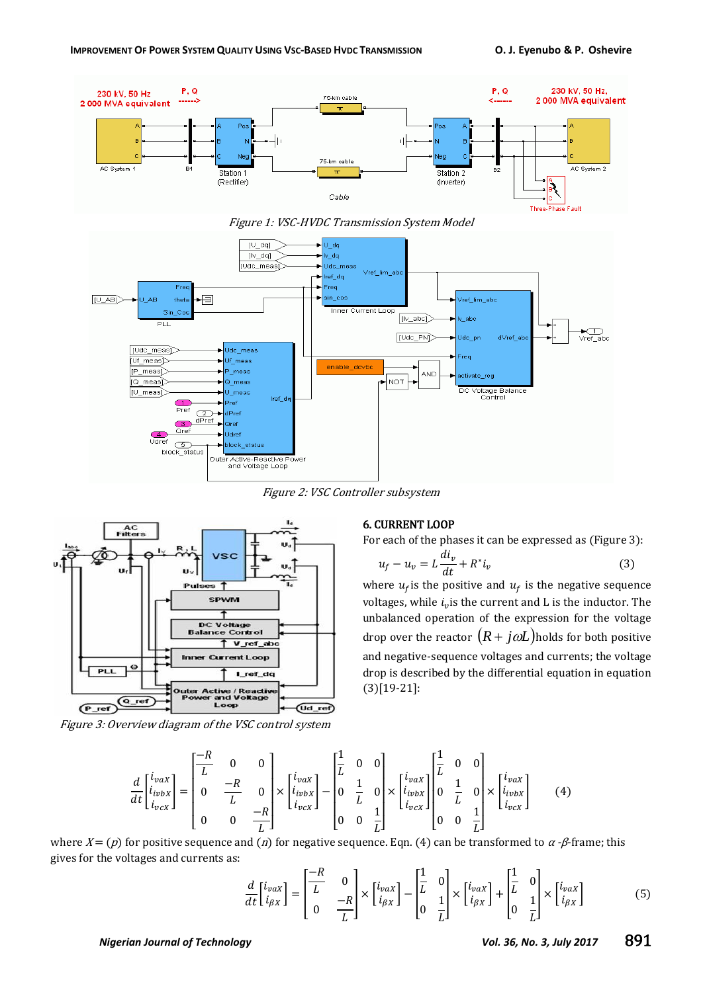





Figure 2: VSC Controller subsystem



Figure 3: Overview diagram of the VSC control system

#### 6. CURRENT LOOP

For each of the phases it can be expressed as (Figure 3):

$$
u_f - u_v = L\frac{di_v}{dt} + R^*i_v
$$
\n(3)

where  $u_f$  is the positive and  $u_f$  is the negative sequence voltages, while  $i_v$  is the current and L is the inductor. The unbalanced operation of the expression for the voltage drop over the reactor  $(R + j\omega L)$  holds for both positive and negative-sequence voltages and currents; the voltage drop is described by the differential equation in equation (3)[19-21]:

$$
\frac{d}{dt} \begin{bmatrix} i_{vax} \\ i_{ivbx} \\ i_{vcx} \end{bmatrix} = \begin{bmatrix} \frac{-R}{L} & 0 & 0 \\ 0 & \frac{-R}{L} & 0 \\ 0 & 0 & \frac{-R}{L} \end{bmatrix} \times \begin{bmatrix} i_{vax} \\ i_{ivbx} \\ i_{vcx} \end{bmatrix} - \begin{bmatrix} \frac{1}{L} & 0 & 0 \\ 0 & \frac{1}{L} & 0 \\ 0 & 0 & \frac{1}{L} \end{bmatrix} \times \begin{bmatrix} i_{vax} \\ i_{ivbx} \\ i_{vcx} \end{bmatrix} \begin{bmatrix} \frac{1}{L} & 0 & 0 \\ 0 & \frac{1}{L} & 0 \\ 0 & 0 & \frac{1}{L} \end{bmatrix} \times \begin{bmatrix} i_{vax} \\ i_{ivbx} \\ i_{vcx} \end{bmatrix}
$$
(4)

where  $X = (p)$  for positive sequence and (*n*) for negative sequence. Eqn. (4) can be transformed to  $\alpha$ -*β*-frame; this gives for the voltages and currents as:

$$
\frac{d}{dt} \begin{bmatrix} i_{\nu\alpha X} \\ i_{\beta X} \end{bmatrix} = \begin{bmatrix} -R & 0 \\ L & 0 \\ 0 & -R \end{bmatrix} \times \begin{bmatrix} i_{\nu\alpha X} \\ i_{\beta X} \end{bmatrix} - \begin{bmatrix} \frac{1}{L} & 0 \\ 0 & \frac{1}{L} \end{bmatrix} \times \begin{bmatrix} i_{\nu\alpha X} \\ i_{\beta X} \end{bmatrix} + \begin{bmatrix} \frac{1}{L} & 0 \\ 0 & \frac{1}{L} \end{bmatrix} \times \begin{bmatrix} i_{\nu\alpha X} \\ i_{\beta X} \end{bmatrix}
$$
(5)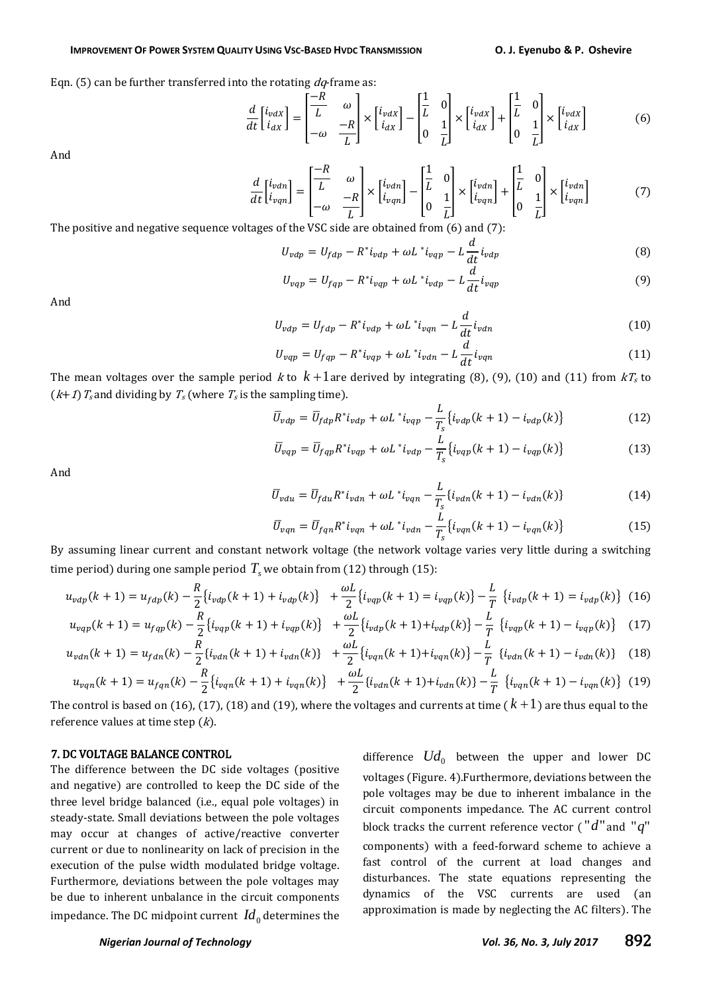#### IMPROVEMENT OF POWER SYSTEM QUALITY USING VSC-BASED HVDC TRANSMISSION O. J. Eyenubo & P. Oshevire

Eqn. (5) can be further transferred into the rotating  $dq$ -frame as:

$$
\frac{d}{dt} \begin{bmatrix} i_{vdx} \\ i_{dx} \end{bmatrix} = \begin{bmatrix} -R & \omega \\ L & -R \\ -\omega & L \end{bmatrix} \times \begin{bmatrix} i_{vdx} \\ i_{dx} \end{bmatrix} - \begin{bmatrix} \frac{1}{L} & 0 \\ 0 & \frac{1}{L} \end{bmatrix} \times \begin{bmatrix} i_{vdx} \\ i_{dx} \end{bmatrix} + \begin{bmatrix} \frac{1}{L} & 0 \\ 0 & \frac{1}{L} \end{bmatrix} \times \begin{bmatrix} i_{vdx} \\ i_{dx} \end{bmatrix}
$$
(6)

And

$$
\frac{d}{dt} \begin{bmatrix} i_{vdn} \\ i_{vqn} \end{bmatrix} = \begin{bmatrix} \frac{-R}{L} & \omega \\ -\omega & \frac{-R}{L} \end{bmatrix} \times \begin{bmatrix} i_{vdn} \\ i_{vqn} \end{bmatrix} - \begin{bmatrix} \frac{1}{L} & 0 \\ 0 & \frac{1}{L} \end{bmatrix} \times \begin{bmatrix} i_{vdn} \\ i_{vqn} \end{bmatrix} + \begin{bmatrix} \frac{1}{L} & 0 \\ 0 & \frac{1}{L} \end{bmatrix} \times \begin{bmatrix} i_{vdn} \\ i_{vqn} \end{bmatrix}
$$
(7)

The positive and negative sequence voltages of the VSC side are obtained from (6) and (7):

$$
U_{\nu dp} = U_{fdp} - R^* i_{\nu dp} + \omega L^* i_{\nu qp} - L \frac{d}{dt} i_{\nu dp}
$$
\n(8)

$$
U_{vqp} = U_{fqp} - R^* i_{vqp} + \omega L^* i_{vdp} - L \frac{d}{dt} i_{vqp}
$$
\n
$$
\tag{9}
$$

And

$$
U_{vdp} = U_{fdp} - R^* i_{vdp} + \omega L^* i_{vqn} - L \frac{d}{dt} i_{vdn}
$$
\n(10)

$$
U_{vqp} = U_{fqp} - R^* i_{vqp} + \omega L^* i_{vdn} - L\frac{d}{dt} i_{vqn}
$$
\n
$$
\tag{11}
$$

The mean voltages over the sample period k to  $k+1$  are derived by integrating (8), (9), (10) and (11) from  $kT_s$  to  $(k+1)T_s$  and dividing by  $T_s$  (where  $T_s$  is the sampling time).

$$
\overline{U}_{\nu dp} = \overline{U}_{fdp} R^* i_{\nu dp} + \omega L^* i_{\nu qp} - \frac{L}{T_s} \{ i_{\nu dp}(k+1) - i_{\nu dp}(k) \}
$$
(12)

$$
\overline{U}_{vqp} = \overline{U}_{fqp} R^* i_{vqp} + \omega L^* i_{vdp} - \frac{L}{T_s} \{ i_{vqp}(k+1) - i_{vqp}(k) \}
$$
\n(13)

And

$$
\overline{U}_{vdu} = \overline{U}_{fdu} R^* i_{vdn} + \omega L^* i_{vqn} - \frac{L}{T_s} \{i_{vdn}(k+1) - i_{vdn}(k)\}
$$
\n(14)

$$
\overline{U}_{vqn} = \overline{U}_{fqn} R^* i_{vqn} + \omega L^* i_{vdn} - \frac{L}{T_s} \{ i_{vqn}(k+1) - i_{vqn}(k) \}
$$
(15)

By assuming linear current and constant network voltage (the network voltage varies very little during a switching time period) during one sample period  $T_{\scriptscriptstyle S}$  we obtain from (12) through (15):

$$
u_{\nu dp}(k+1) = u_{fdp}(k) - \frac{R}{2} \{ i_{\nu dp}(k+1) + i_{\nu dp}(k) \} + \frac{\omega L}{2} \{ i_{\nu qp}(k+1) = i_{\nu qp}(k) \} - \frac{L}{T} \{ i_{\nu dp}(k+1) = i_{\nu dp}(k) \} (16)
$$

$$
u_{vqp}(k+1) = u_{fqp}(k) - \frac{R}{2} \{i_{vqp}(k+1) + i_{vqp}(k)\} + \frac{\omega L}{2} \{i_{vdp}(k+1) + i_{vdp}(k)\} - \frac{L}{T} \{i_{vqp}(k+1) - i_{vqp}(k)\} \tag{17}
$$

$$
u_{vdn}(k+1) = u_{fdn}(k) - \frac{\kappa}{2} \{i_{vdn}(k+1) + i_{vdn}(k)\} + \frac{\omega L}{2} \{i_{vqn}(k+1) + i_{vqn}(k)\} - \frac{L}{T} \{i_{vdn}(k+1) - i_{vdn}(k)\} \tag{18}
$$

$$
u_{vqn}(k+1) = u_{fqn}(k) - \frac{\kappa}{2} \{ i_{vqn}(k+1) + i_{vqn}(k) \} + \frac{\omega L}{2} \{ i_{vdn}(k+1) + i_{vdn}(k) \} - \frac{L}{T} \{ i_{vqn}(k+1) - i_{vqn}(k) \} \tag{19}
$$

The control is based on (16), (17), (18) and (19), where the voltages and currents at time (  $k+1$  ) are thus equal to the reference values at time step  $(k)$ .

#### 7. DC VOLTAGE BALANCE CONTROL

The difference between the DC side voltages (positive and negative) are controlled to keep the DC side of the three level bridge balanced (i.e., equal pole voltages) in steady-state. Small deviations between the pole voltages may occur at changes of active/reactive converter current or due to nonlinearity on lack of precision in the execution of the pulse width modulated bridge voltage. Furthermore, deviations between the pole voltages may be due to inherent unbalance in the circuit components impedance. The DC midpoint current  $\emph{Id}_0$  determines the difference  $Ud_0$  between the upper and lower DC voltages (Figure. 4).Furthermore, deviations between the pole voltages may be due to inherent imbalance in the circuit components impedance. The AC current control block tracks the current reference vector (" $d$ " and " $q$ " components) with a feed-forward scheme to achieve a fast control of the current at load changes and disturbances. The state equations representing the dynamics of the VSC currents are used (an approximation is made by neglecting the AC filters). The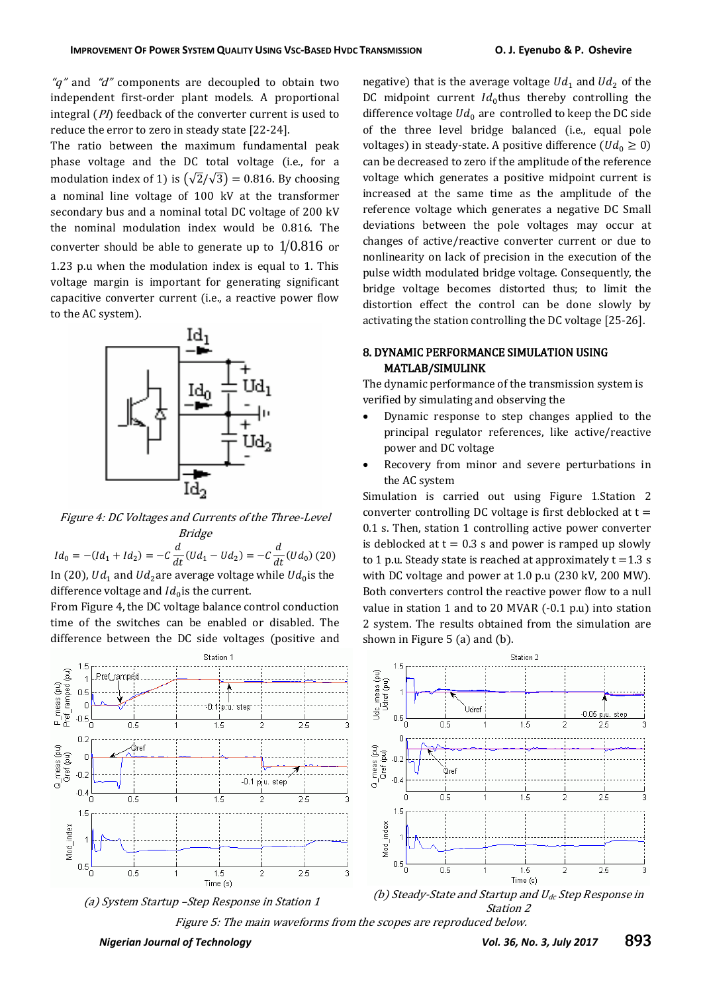" $q$ " and " $d$ " components are decoupled to obtain two independent first-order plant models. A proportional integral  $(PI)$  feedback of the converter current is used to reduce the error to zero in steady state [22-24].

The ratio between the maximum fundamental peak phase voltage and the DC total voltage (i.e., for a modulation index of 1) is  $(\sqrt{2}/\sqrt{3}) = 0.816$ . By choosing a nominal line voltage of 100 kV at the transformer secondary bus and a nominal total DC voltage of 200 kV the nominal modulation index would be 0.816. The converter should be able to generate up to  $1\!/0.816$  or 1.23 p.u when the modulation index is equal to 1. This voltage margin is important for generating significant capacitive converter current (i.e., a reactive power flow to the AC system).



Figure 4: DC Voltages and Currents of the Three-Level Bridge

 $Id_0 = -(Id_1 + Id_2) = -C\frac{d}{dt}$  $\frac{d}{dt}(Ud_1-Ud_2)=-C\frac{d}{di}$  $\frac{d}{dt}(Ud_0)$  (20) In (20), Ud<sub>1</sub> and Ud<sub>2</sub> are average voltage while Ud<sub>0</sub> is the difference voltage and  $Id_0$  is the current.

From Figure 4, the DC voltage balance control conduction time of the switches can be enabled or disabled. The difference between the DC side voltages (positive and

P\_meas (pu)<br>Pref\_ramped (pu)

Q\_meas (pu)<br>Qref (pu)

 $0.5$  $\overline{0}$ 

ا 0.5-<br>C

 $02$ 

 $\mathbb C$ 

 $-0.2$ 

 $-0.4$ 

 $1.5$ 

 $0.5$ 

Mod inde»

.<br>ا

negative) that is the average voltage  $Ud_1$  and  $Ud_2$  of the DC midpoint current  $Id_0$ thus thereby controlling the difference voltage  $Ud_0$  are controlled to keep the DC side of the three level bridge balanced (i.e., equal pole voltages) in steady-state. A positive difference  $(Ud_0 \ge 0)$ can be decreased to zero if the amplitude of the reference voltage which generates a positive midpoint current is increased at the same time as the amplitude of the reference voltage which generates a negative DC Small deviations between the pole voltages may occur at changes of active/reactive converter current or due to nonlinearity on lack of precision in the execution of the pulse width modulated bridge voltage. Consequently, the bridge voltage becomes distorted thus; to limit the distortion effect the control can be done slowly by activating the station controlling the DC voltage [25-26].

#### 8. DYNAMIC PERFORMANCE SIMULATION USING MATLAB/SIMULINK

The dynamic performance of the transmission system is verified by simulating and observing the

- Dynamic response to step changes applied to the principal regulator references, like active/reactive power and DC voltage
- Recovery from minor and severe perturbations in the AC system

Simulation is carried out using Figure 1.Station 2 converter controlling DC voltage is first deblocked at  $t =$ 0.1 s. Then, station 1 controlling active power converter is deblocked at  $t = 0.3$  s and power is ramped up slowly to 1 p.u. Steady state is reached at approximately  $t = 1.3$  s with DC voltage and power at 1.0 p.u (230 kV, 200 MW). Both converters control the reactive power flow to a null value in station 1 and to 20 MVAR (-0.1 p.u) into station 2 system. The results obtained from the simulation are shown in Figure 5 (a) and (b).





Figure 5: The main waveforms from the scopes are reproduced below.

Station 2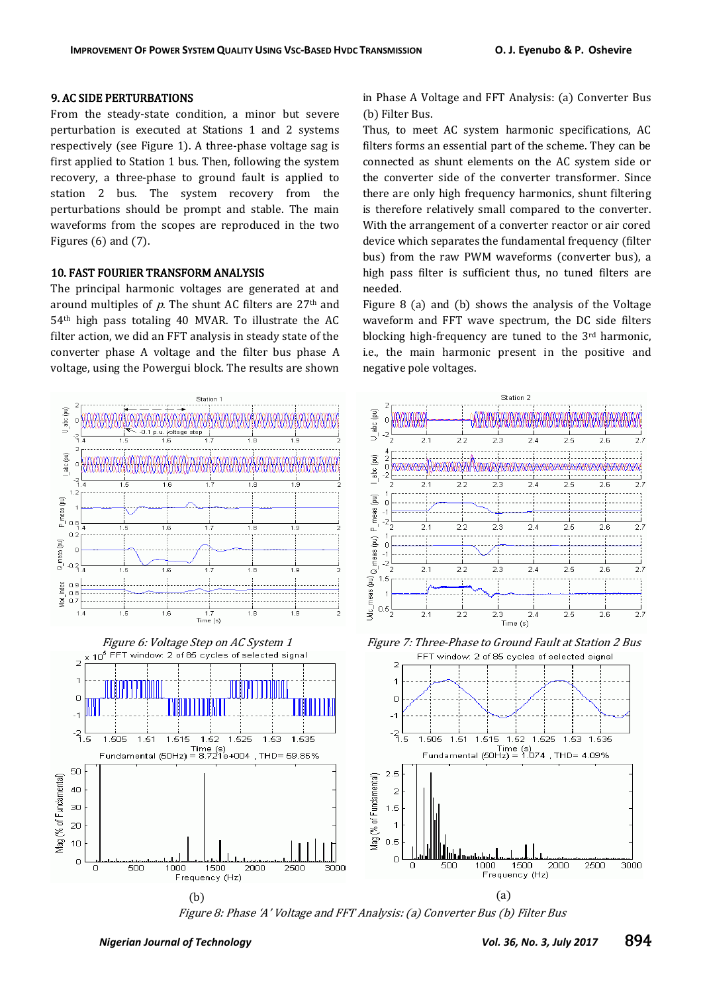## 9. AC SIDE PERTURBATIONS

From the steady-state condition, a minor but severe perturbation is executed at Stations 1 and 2 systems respectively (see Figure 1). A three-phase voltage sag is first applied to Station 1 bus. Then, following the system recovery, a three-phase to ground fault is applied to station 2 bus. The system recovery from the perturbations should be prompt and stable. The main waveforms from the scopes are reproduced in the two Figures  $(6)$  and  $(7)$ .

#### 10. FAST FOURIER TRANSFORM ANALYSIS

The principal harmonic voltages are generated at and around multiples of  $p$ . The shunt AC filters are 27<sup>th</sup> and 54th high pass totaling 40 MVAR. To illustrate the AC filter action, we did an FFT analysis in steady state of the converter phase A voltage and the filter bus phase A voltage, using the Powergui block. The results are shown in Phase A [Voltage and FFT Analysis: \(a\) Converter Bus](https://www.mathworks.com/help/physmod/sps/powersys/ug/vsc-based-hvdc-link.html#bqsqovj)  [\(b\) Filter Bus.](https://www.mathworks.com/help/physmod/sps/powersys/ug/vsc-based-hvdc-link.html#bqsqovj)

Thus, to meet AC system harmonic specifications, AC filters forms an essential part of the scheme. They can be connected as shunt elements on the AC system side or the converter side of the converter transformer. Since there are only high frequency harmonics, shunt filtering is therefore relatively small compared to the converter. With the arrangement of a converter reactor or air cored device which separates the fundamental frequency (filter bus) from the raw PWM waveforms (converter bus), a high pass filter is sufficient thus, no tuned filters are needed.

Figure 8 (a) and (b) shows the analysis of the Voltage waveform and FFT wave spectrum, the DC side filters blocking high-frequency are tuned to the 3rd harmonic, i.e., the main harmonic present in the positive and negative pole voltages.



Figure 8: Phase 'A' Voltage and FFT Analysis: (a) Converter Bus (b) Filter Bus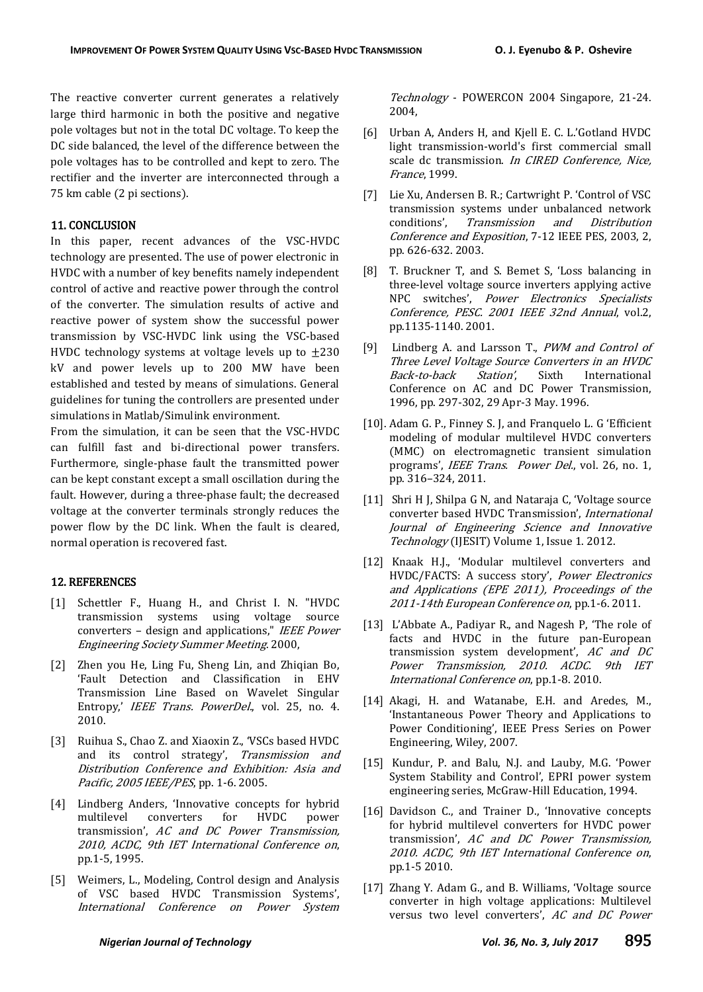The reactive converter current generates a relatively large third harmonic in both the positive and negative pole voltages but not in the total DC voltage. To keep the DC side balanced, the level of the difference between the pole voltages has to be controlled and kept to zero. The rectifier and the inverter are interconnected through a 75 km cable (2 pi sections).

#### 11. CONCLUSION

In this paper, recent advances of the VSC-HVDC technology are presented. The use of power electronic in HVDC with a number of key benefits namely independent control of active and reactive power through the control of the converter. The simulation results of active and reactive power of system show the successful power transmission by VSC-HVDC link using the VSC-based HVDC technology systems at voltage levels up to  $\pm 230$ kV and power levels up to 200 MW have been established and tested by means of simulations. General guidelines for tuning the controllers are presented under simulations in Matlab/Simulink environment.

From the simulation, it can be seen that the VSC-HVDC can fulfill fast and bi-directional power transfers. Furthermore, single-phase fault the transmitted power can be kept constant except a small oscillation during the fault. However, during a three-phase fault; the decreased voltage at the converter terminals strongly reduces the power flow by the DC link. When the fault is cleared, normal operation is recovered fast.

#### 12. REFERENCES

- [1] Schettler F., Huang H., and Christ I. N. "HVDC transmission systems using voltage source converters – design and applications," IEEE Power Engineering Society Summer Meeting. 2000,
- [2] Zhen you He, Ling Fu, Sheng Lin, and Zhiqian Bo, 'Fault Detection and Classification in EHV Transmission Line Based on Wavelet Singular Entropy,' IEEE Trans. PowerDel., vol. 25, no. 4. 2010.
- [3] Ruihua S., Chao Z. and Xiaoxin Z., 'VSCs based HVDC and its control strategy', Transmission and Distribution Conference and Exhibition: Asia and Pacific, 2005 IEEE/PES, pp. 1-6. 2005.
- [4] Lindberg Anders, 'Innovative concepts for hybrid multilevel converters for HVDC power transmission', AC and DC Power Transmission, 2010, ACDC, 9th IET International Conference on, pp.1-5, 1995.
- [5] Weimers, L., Modeling, Control design and Analysis of VSC based HVDC Transmission Systems', International Conference on Power System

Technology - POWERCON 2004 Singapore, 21-24. 2004,

- [6] Urban A, Anders H, and Kjell E. C. L.'Gotland HVDC light transmission-world's first commercial small scale dc transmission. In CIRED Conference, Nice, France, 1999.
- [7] Lie Xu, Andersen B. R.; Cartwright P. 'Control of VSC transmission systems under unbalanced network conditions', Transmission and Distribution Conference and Exposition, 7-12 IEEE PES, 2003, 2, pp. 626-632. 2003.
- [8] T. Bruckner T, and S. Bemet S, 'Loss balancing in three-level voltage source inverters applying active NPC switches', Power Electronics Specialists Conference, PESC. 2001 IEEE 32nd Annual, vol.2, pp.1135-1140. 2001.
- [9] Lindberg A. and Larsson T., PWM and Control of Three Level Voltage Source Converters in an HVDC Back-to-back Station', Sixth International Conference on AC and DC Power Transmission, 1996, pp. 297-302, 29 Apr-3 May. 1996.
- [10]. Adam G. P., Finney S. J, and Franquelo L. G 'Efficient modeling of modular multilevel HVDC converters (MMC) on electromagnetic transient simulation programs', *IEEE Trans. Power Del.*, vol. 26, no. 1, pp. 316–324, 2011.
- [11] Shri H J, Shilpa G N, and Nataraja C, 'Voltage source converter based HVDC Transmission', International Journal of Engineering Science and Innovative Technology (IJESIT) Volume 1, Issue 1. 2012.
- [12] Knaak H.J., 'Modular multilevel converters and HVDC/FACTS: A success story', Power Electronics and Applications (EPE 2011), Proceedings of the 2011-14th European Conference on, pp.1-6. 2011.
- [13] L'Abbate A., Padiyar R., and Nagesh P, 'The role of facts and HVDC in the future pan-European transmission system development',  $AC$  and  $DC$ Power Transmission, 2010. ACDC. 9th IET International Conference on, pp.1-8. 2010.
- [14] Akagi, H. and Watanabe, E.H. and Aredes, M., 'Instantaneous Power Theory and Applications to Power Conditioning', IEEE Press Series on Power Engineering, Wiley, 2007.
- [15] Kundur, P. and Balu, N.J. and Lauby, M.G. 'Power System Stability and Control', EPRI power system engineering series, McGraw-Hill Education, 1994.
- $[16]$  Davidson C., and Trainer D., 'Innovative concepts for hybrid multilevel converters for HVDC power transmission',  $AC$  and  $DC$  Power Transmission, 2010. ACDC, 9th IET International Conference on, pp.1-5 2010.
- [17] Zhang Y. Adam G., and B. Williams, 'Voltage source converter in high voltage applications: Multilevel versus two level converters', AC and DC Power